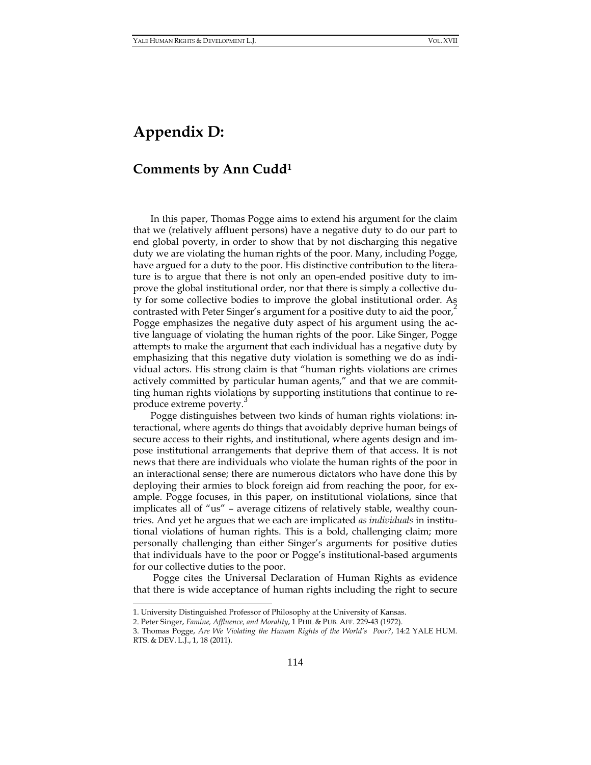## **Appendix D:**

## **Comments by Ann Cudd<sup>1</sup>**

In this paper, Thomas Pogge aims to extend his argument for the claim that we (relatively affluent persons) have a negative duty to do our part to end global poverty, in order to show that by not discharging this negative duty we are violating the human rights of the poor. Many, including Pogge, have argued for a duty to the poor. His distinctive contribution to the literature is to argue that there is not only an open-ended positive duty to improve the global institutional order, nor that there is simply a collective duty for some collective bodies to improve the global institutional order. As contrasted with Peter Singer's argument for a positive duty to aid the poor, Pogge emphasizes the negative duty aspect of his argument using the active language of violating the human rights of the poor. Like Singer, Pogge attempts to make the argument that each individual has a negative duty by emphasizing that this negative duty violation is something we do as individual actors. His strong claim is that "human rights violations are crimes actively committed by particular human agents," and that we are committing human rights violations by supporting institutions that continue to reproduce extreme poverty.

Pogge distinguishes between two kinds of human rights violations: interactional, where agents do things that avoidably deprive human beings of secure access to their rights, and institutional, where agents design and impose institutional arrangements that deprive them of that access. It is not news that there are individuals who violate the human rights of the poor in an interactional sense; there are numerous dictators who have done this by deploying their armies to block foreign aid from reaching the poor, for example. Pogge focuses, in this paper, on institutional violations, since that implicates all of "us" – average citizens of relatively stable, wealthy countries. And yet he argues that we each are implicated *as individuals* in institutional violations of human rights. This is a bold, challenging claim; more personally challenging than either Singer's arguments for positive duties that individuals have to the poor or Pogge's institutional-based arguments for our collective duties to the poor.

Pogge cites the Universal Declaration of Human Rights as evidence that there is wide acceptance of human rights including the right to secure

 $\overline{a}$ 

<sup>1.</sup> University Distinguished Professor of Philosophy at the University of Kansas.

<sup>2.</sup> Peter Singer, *Famine, Affluence, and Morality*, 1 PHIL & PUB. AFF. 229-43 (1972).

<sup>3.</sup> Thomas Pogge, *Are We Violating the Human Rights of the World's Poor?*, 14:2 YALE HUM. RTS. & DEV. L.J., 1, 18 (2011).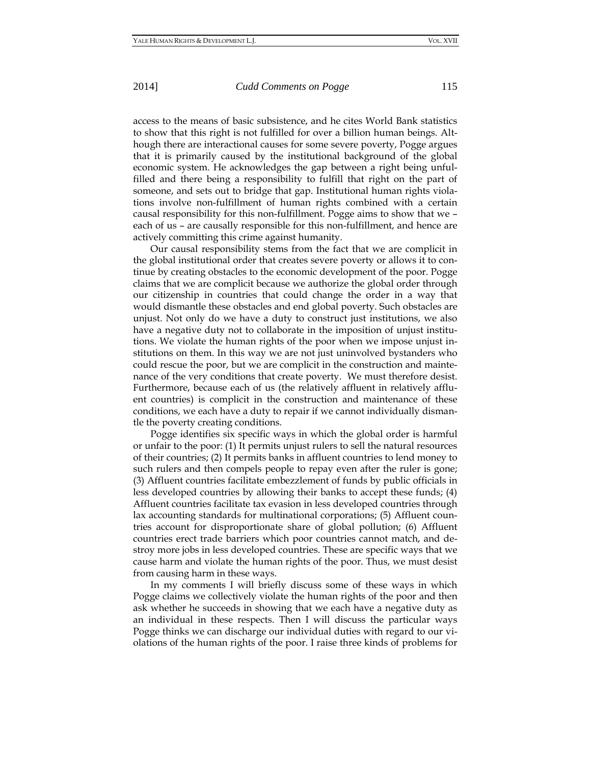## 2014] *Cudd Comments on Pogge* 115

access to the means of basic subsistence, and he cites World Bank statistics to show that this right is not fulfilled for over a billion human beings. Although there are interactional causes for some severe poverty, Pogge argues that it is primarily caused by the institutional background of the global economic system. He acknowledges the gap between a right being unfulfilled and there being a responsibility to fulfill that right on the part of someone, and sets out to bridge that gap. Institutional human rights violations involve non-fulfillment of human rights combined with a certain causal responsibility for this non-fulfillment. Pogge aims to show that we – each of us – are causally responsible for this non-fulfillment, and hence are actively committing this crime against humanity.

Our causal responsibility stems from the fact that we are complicit in the global institutional order that creates severe poverty or allows it to continue by creating obstacles to the economic development of the poor. Pogge claims that we are complicit because we authorize the global order through our citizenship in countries that could change the order in a way that would dismantle these obstacles and end global poverty. Such obstacles are unjust. Not only do we have a duty to construct just institutions, we also have a negative duty not to collaborate in the imposition of unjust institutions. We violate the human rights of the poor when we impose unjust institutions on them. In this way we are not just uninvolved bystanders who could rescue the poor, but we are complicit in the construction and maintenance of the very conditions that create poverty. We must therefore desist. Furthermore, because each of us (the relatively affluent in relatively affluent countries) is complicit in the construction and maintenance of these conditions, we each have a duty to repair if we cannot individually dismantle the poverty creating conditions.

Pogge identifies six specific ways in which the global order is harmful or unfair to the poor: (1) It permits unjust rulers to sell the natural resources of their countries; (2) It permits banks in affluent countries to lend money to such rulers and then compels people to repay even after the ruler is gone; (3) Affluent countries facilitate embezzlement of funds by public officials in less developed countries by allowing their banks to accept these funds; (4) Affluent countries facilitate tax evasion in less developed countries through lax accounting standards for multinational corporations; (5) Affluent countries account for disproportionate share of global pollution; (6) Affluent countries erect trade barriers which poor countries cannot match, and destroy more jobs in less developed countries. These are specific ways that we cause harm and violate the human rights of the poor. Thus, we must desist from causing harm in these ways.

In my comments I will briefly discuss some of these ways in which Pogge claims we collectively violate the human rights of the poor and then ask whether he succeeds in showing that we each have a negative duty as an individual in these respects. Then I will discuss the particular ways Pogge thinks we can discharge our individual duties with regard to our violations of the human rights of the poor. I raise three kinds of problems for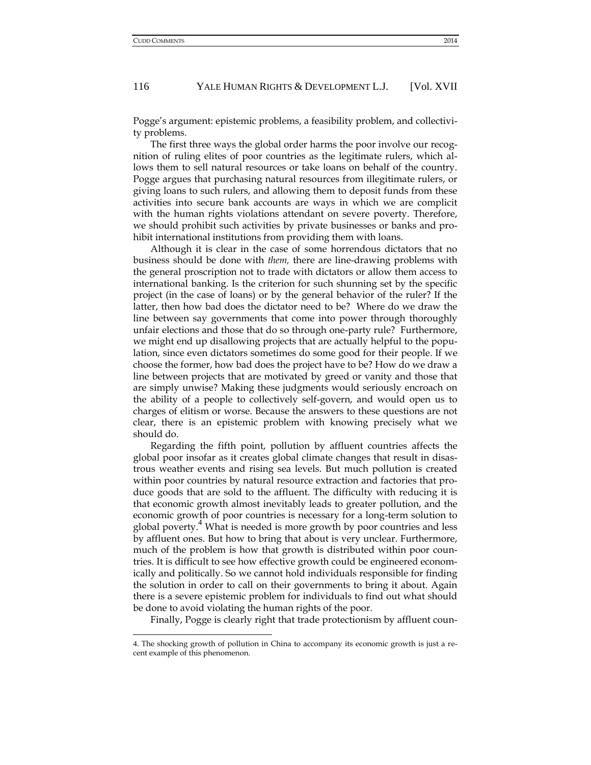$\overline{a}$ 

116 YALE HUMAN RIGHTS & DEVELOPMENT L.J. [Vol. XVII

Pogge's argument: epistemic problems, a feasibility problem, and collectivity problems.

The first three ways the global order harms the poor involve our recognition of ruling elites of poor countries as the legitimate rulers, which allows them to sell natural resources or take loans on behalf of the country. Pogge argues that purchasing natural resources from illegitimate rulers, or giving loans to such rulers, and allowing them to deposit funds from these activities into secure bank accounts are ways in which we are complicit with the human rights violations attendant on severe poverty. Therefore, we should prohibit such activities by private businesses or banks and prohibit international institutions from providing them with loans.

Although it is clear in the case of some horrendous dictators that no business should be done with *them,* there are line-drawing problems with the general proscription not to trade with dictators or allow them access to international banking. Is the criterion for such shunning set by the specific project (in the case of loans) or by the general behavior of the ruler? If the latter, then how bad does the dictator need to be? Where do we draw the line between say governments that come into power through thoroughly unfair elections and those that do so through one-party rule? Furthermore, we might end up disallowing projects that are actually helpful to the population, since even dictators sometimes do some good for their people. If we choose the former, how bad does the project have to be? How do we draw a line between projects that are motivated by greed or vanity and those that are simply unwise? Making these judgments would seriously encroach on the ability of a people to collectively self-govern, and would open us to charges of elitism or worse. Because the answers to these questions are not clear, there is an epistemic problem with knowing precisely what we should do.

Regarding the fifth point, pollution by affluent countries affects the global poor insofar as it creates global climate changes that result in disastrous weather events and rising sea levels. But much pollution is created within poor countries by natural resource extraction and factories that produce goods that are sold to the affluent. The difficulty with reducing it is that economic growth almost inevitably leads to greater pollution, and the economic growth of poor countries is necessary for a long-term solution to global poverty.<sup>4</sup> What is needed is more growth by poor countries and less by affluent ones. But how to bring that about is very unclear. Furthermore, much of the problem is how that growth is distributed within poor countries. It is difficult to see how effective growth could be engineered economically and politically. So we cannot hold individuals responsible for finding the solution in order to call on their governments to bring it about. Again there is a severe epistemic problem for individuals to find out what should be done to avoid violating the human rights of the poor.

Finally, Pogge is clearly right that trade protectionism by affluent coun-

<sup>4.</sup> The shocking growth of pollution in China to accompany its economic growth is just a recent example of this phenomenon.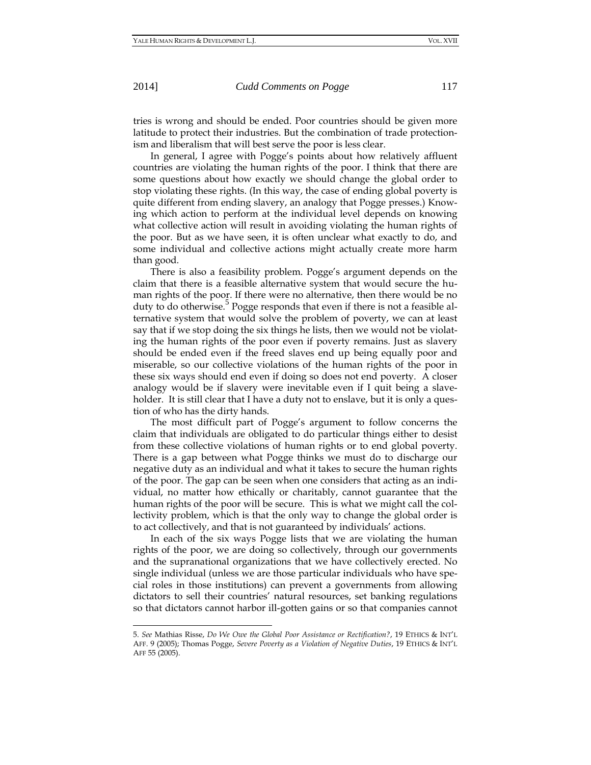2014] *Cudd Comments on Pogge* 117

tries is wrong and should be ended. Poor countries should be given more latitude to protect their industries. But the combination of trade protectionism and liberalism that will best serve the poor is less clear.

In general, I agree with Pogge's points about how relatively affluent countries are violating the human rights of the poor. I think that there are some questions about how exactly we should change the global order to stop violating these rights. (In this way, the case of ending global poverty is quite different from ending slavery, an analogy that Pogge presses.) Knowing which action to perform at the individual level depends on knowing what collective action will result in avoiding violating the human rights of the poor. But as we have seen, it is often unclear what exactly to do, and some individual and collective actions might actually create more harm than good.

There is also a feasibility problem. Pogge's argument depends on the claim that there is a feasible alternative system that would secure the human rights of the poor. If there were no alternative, then there would be no  $\frac{1}{2}$  duty to do otherwise. Pogge responds that even if there is not a feasible alternative system that would solve the problem of poverty, we can at least say that if we stop doing the six things he lists, then we would not be violating the human rights of the poor even if poverty remains. Just as slavery should be ended even if the freed slaves end up being equally poor and miserable, so our collective violations of the human rights of the poor in these six ways should end even if doing so does not end poverty. A closer analogy would be if slavery were inevitable even if I quit being a slaveholder. It is still clear that I have a duty not to enslave, but it is only a question of who has the dirty hands.

The most difficult part of Pogge's argument to follow concerns the claim that individuals are obligated to do particular things either to desist from these collective violations of human rights or to end global poverty. There is a gap between what Pogge thinks we must do to discharge our negative duty as an individual and what it takes to secure the human rights of the poor. The gap can be seen when one considers that acting as an individual, no matter how ethically or charitably, cannot guarantee that the human rights of the poor will be secure. This is what we might call the collectivity problem, which is that the only way to change the global order is to act collectively, and that is not guaranteed by individuals' actions.

In each of the six ways Pogge lists that we are violating the human rights of the poor, we are doing so collectively, through our governments and the supranational organizations that we have collectively erected. No single individual (unless we are those particular individuals who have special roles in those institutions) can prevent a governments from allowing dictators to sell their countries' natural resources, set banking regulations so that dictators cannot harbor ill-gotten gains or so that companies cannot

 $\overline{a}$ 

<sup>5.</sup> *See* Mathias Risse, *Do We Owe the Global Poor Assistance or Rectification?*, 19 ETHICS & INT'L AFF. 9 (2005); Thomas Pogge, *Severe Poverty as a Violation of Negative Duties*, 19 ETHICS & INT'L AFF 55 (2005).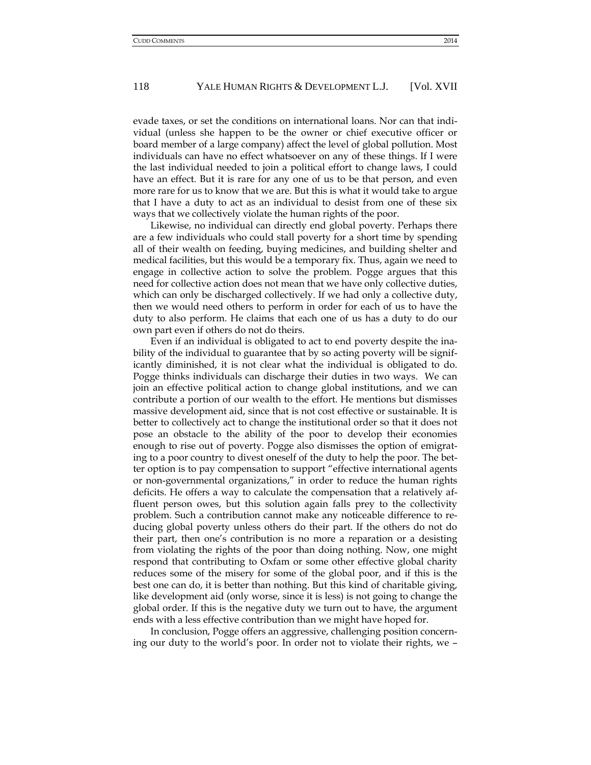evade taxes, or set the conditions on international loans. Nor can that individual (unless she happen to be the owner or chief executive officer or board member of a large company) affect the level of global pollution. Most individuals can have no effect whatsoever on any of these things. If I were the last individual needed to join a political effort to change laws, I could have an effect. But it is rare for any one of us to be that person, and even more rare for us to know that we are. But this is what it would take to argue that I have a duty to act as an individual to desist from one of these six ways that we collectively violate the human rights of the poor.

Likewise, no individual can directly end global poverty. Perhaps there are a few individuals who could stall poverty for a short time by spending all of their wealth on feeding, buying medicines, and building shelter and medical facilities, but this would be a temporary fix. Thus, again we need to engage in collective action to solve the problem. Pogge argues that this need for collective action does not mean that we have only collective duties, which can only be discharged collectively. If we had only a collective duty, then we would need others to perform in order for each of us to have the duty to also perform. He claims that each one of us has a duty to do our own part even if others do not do theirs.

Even if an individual is obligated to act to end poverty despite the inability of the individual to guarantee that by so acting poverty will be significantly diminished, it is not clear what the individual is obligated to do. Pogge thinks individuals can discharge their duties in two ways. We can join an effective political action to change global institutions, and we can contribute a portion of our wealth to the effort. He mentions but dismisses massive development aid, since that is not cost effective or sustainable. It is better to collectively act to change the institutional order so that it does not pose an obstacle to the ability of the poor to develop their economies enough to rise out of poverty. Pogge also dismisses the option of emigrating to a poor country to divest oneself of the duty to help the poor. The better option is to pay compensation to support "effective international agents or non-governmental organizations," in order to reduce the human rights deficits. He offers a way to calculate the compensation that a relatively affluent person owes, but this solution again falls prey to the collectivity problem. Such a contribution cannot make any noticeable difference to reducing global poverty unless others do their part. If the others do not do their part, then one's contribution is no more a reparation or a desisting from violating the rights of the poor than doing nothing. Now, one might respond that contributing to Oxfam or some other effective global charity reduces some of the misery for some of the global poor, and if this is the best one can do, it is better than nothing. But this kind of charitable giving, like development aid (only worse, since it is less) is not going to change the global order. If this is the negative duty we turn out to have, the argument ends with a less effective contribution than we might have hoped for.

In conclusion, Pogge offers an aggressive, challenging position concerning our duty to the world's poor. In order not to violate their rights, we –